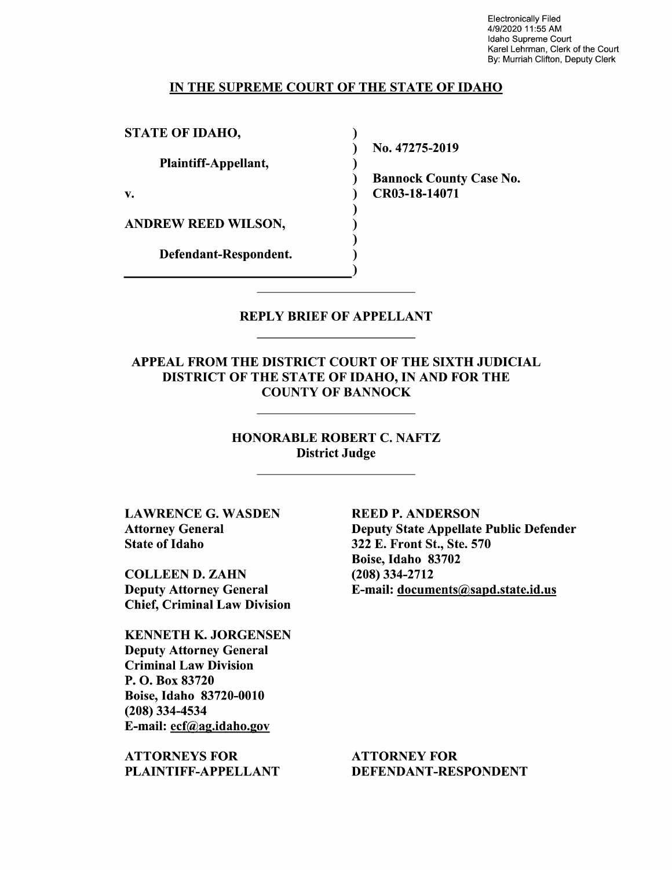Electronically Filed 4/9/2020 11:55 AM Idaho Supreme Court Karel Lehrman, Clerk of the Court By: Murriah Clifton, Deputy Clerk

#### IN THE SUPREME COURT OF THE STATE OF IDAHO

STATE OF IDAHO,

Plaintiff—Appellant,

V.

ANDREW REED WILSON,

Defendant—Respondent.

N0. 47275-2019

Bannock County Case N0. CR03-18-14071

REPLY BRIEF OF APPELLANT

 $\sim$ 

 $\lambda$ ℩ €  $\lambda$ 

APPEAL FROM THE DISTRICT COURT OF THE SIXTH JUDICIAL DISTRICT OF THE STATE OF IDAHO, IN AND FOR THE COUNTY OF BANNOCK

> HONORABLE ROBERT C. NAFTZ District Judge

LAWRENCE G. WASDEN Attorney General State 0f Idaho

COLLEEN D. ZAHN Deputy Attorney General Chief, Criminal Law Division

KENNETH K. JORGENSEN Deputy Attorney General Criminal Law Division P. O. Box 83720 Boise, Idaho 83720-0010 (208) 334-4534 E-mail: ecf@ag.idah0.gov

ATTORNEYS FOR PLAINTIFF—APPELLANT REED P. ANDERSON Deputy State Appellate Public Defender 322 E. Front St., Ste. 570 Boise, Idaho 83702 (208) 334-2712 E-mail: documents@sapd.state.id.us

ATTORNEY FOR DEFENDANT-RESPONDENT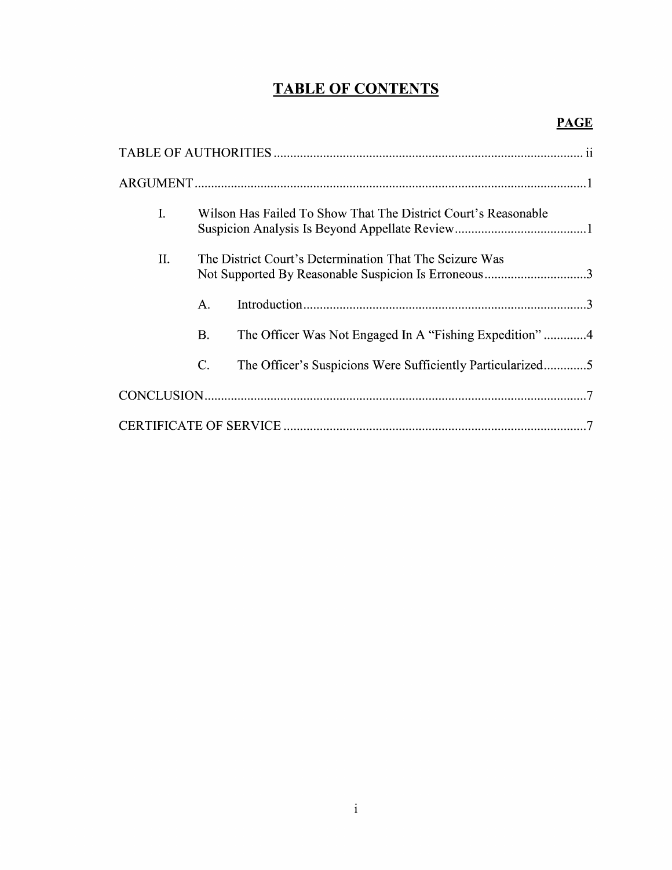# TABLE OF CONTENTS

| I. | Wilson Has Failed To Show That The District Court's Reasonable                                                 |                                                            |  |
|----|----------------------------------------------------------------------------------------------------------------|------------------------------------------------------------|--|
| Π. | The District Court's Determination That The Seizure Was<br>Not Supported By Reasonable Suspicion Is Erroneous3 |                                                            |  |
|    | Α.                                                                                                             |                                                            |  |
|    | В.                                                                                                             | The Officer Was Not Engaged In A "Fishing Expedition" 4    |  |
|    | C.                                                                                                             | The Officer's Suspicions Were Sufficiently Particularized5 |  |
|    |                                                                                                                |                                                            |  |
|    |                                                                                                                |                                                            |  |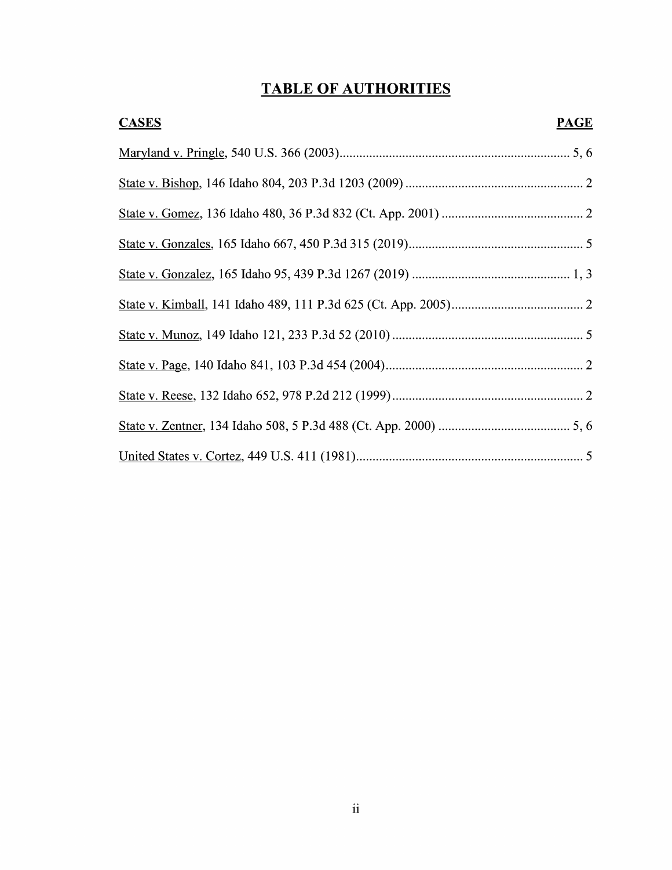# TABLE OF AUTHORITIES

| <b>CASES</b><br><b>PAGE</b> |  |
|-----------------------------|--|
|                             |  |
|                             |  |
|                             |  |
|                             |  |
|                             |  |
|                             |  |
|                             |  |
|                             |  |
|                             |  |
|                             |  |
|                             |  |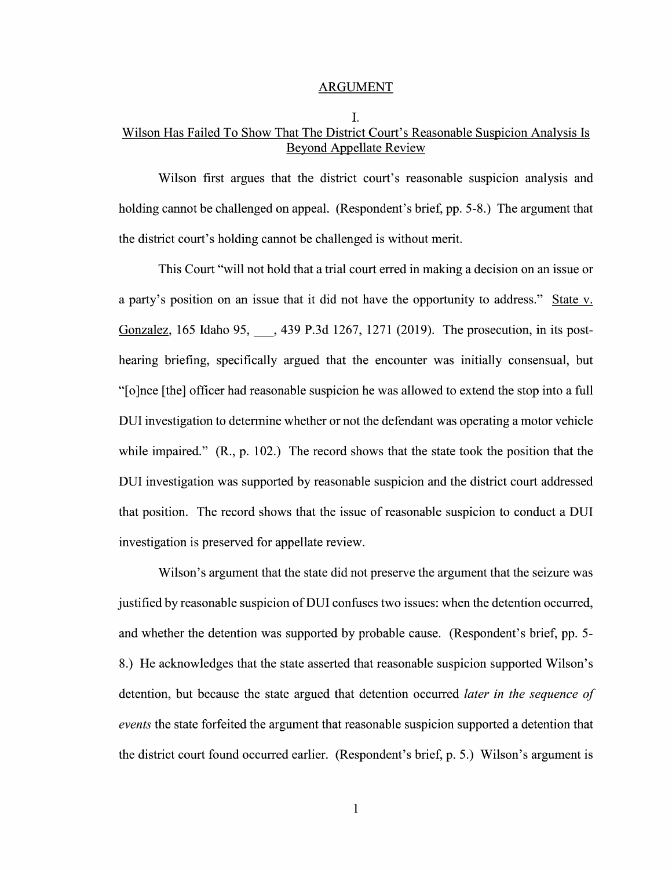#### ARGUMENT

## I. Wilson Has Failed T0 Show That The District Court's Reasonable Suspicion Analysis Is Beyond Appellate Review

Wilson first argues that the district court's reasonable suspicion analysis and holding cannot be challenged on appeal. (Respondent's brief, pp. 5-8.) The argument that the district court's holding cannot be challenged is Without merit.

This Court "will not hold that a trial court erred in making a decision on an issue or a party's position on an issue that it did not have the opportunity to address." State v. Gonzalez, 165 Idaho 95, 3439 P.3d 1267, 1271 (2019). The prosecution, in its posthearing briefing, specifically argued that the encounter was initially consensual, but "[0]nce [the] officer had reasonable suspicion he was allowed to extend the stop into filll DUI investigation to determine whether or not the defendant was operating a motor vehicle while impaired." (R., p. 102.) The record shows that the state took the position that the DUI investigation was supported by reasonable suspicion and the district court addressed that position. The record shows that the issue of reasonable suspicion to conduct a DUI investigation is preserved for appellate review.

Wilson's argument that the state did not preserve the argument that the seizure was justified by reasonable suspicion 0f DUI confuses two issues: When the detention occurred, and whether the detention was supported by probable cause. (Respondent's brief, pp. 5- 8.) He acknowledges that the state asserted that reasonable suspicion supported Wilson's detention, but because the state argued that detention occurred *later in the sequence of* events the state forfeited the argument that reasonable suspicion supported a detention that the district court found occurred earlier. (Respondent's brief, p. 5.) Wilson's argument is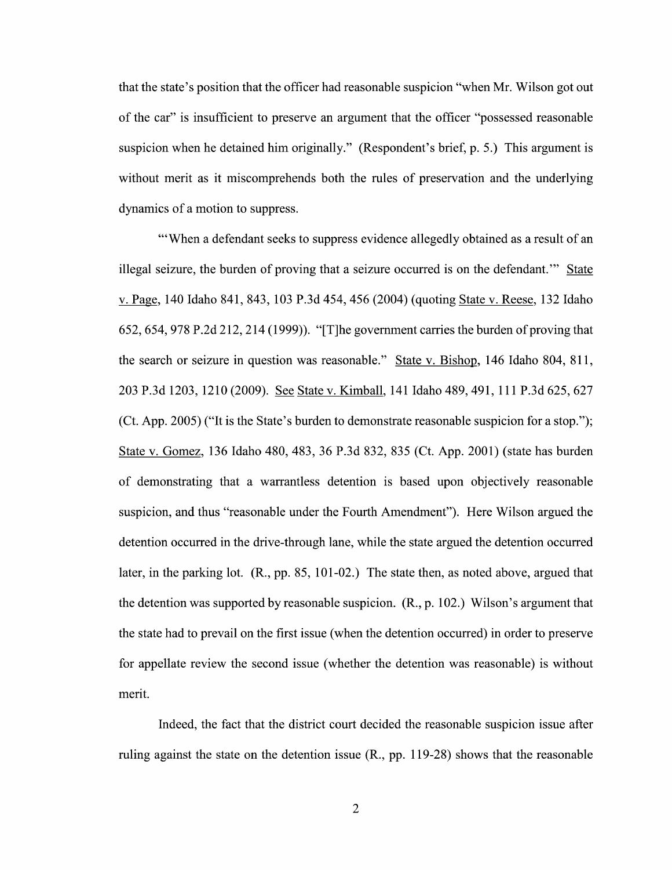that the state's position that the officer had reasonable suspicion "when Mr. Wilson got out of the car" is insufficient to preserve an argument that the officer "possessed reasonable suspicion When he detained him originally." (Respondent's brief, p. 5.) This argument is without merit as it miscomprehends both the rules of preservation and the underlying dynamics of a motion to suppress.

"When a defendant seeks to suppress evidence allegedly obtained as a result of an illegal seizure, the burden of proving that a seizure occurred is on the defendant." State v. Page, 140 Idaho 841, 843, 103 P.3d 454, 456 (2004) (quoting State v. Reese, 132 Idaho 652, 654, 978 P.2d 212, 214 (1999)). "[T]he government carries the burden of proving that the search or seizure in question was reasonable." State v. Bishop, 146 Idaho 804, 811, 203 P.3d 1203, 1210 (2009). See State v. Kimball, 141 Idaho 489, 491, 111 P.3d 625, 627 (Ct. App. 2005) ("It is the State's burden to demonstrate reasonable suspicion for a stop."); State V. Gomez, <sup>136</sup> Idaho 480, 483, <sup>36</sup> P.3d 832, <sup>835</sup> (Ct. App. 2001) (state has burden 0f demonstrating that warrantless detention is based upon objectively reasonable suspicion, and thus "reasonable under the Fourth Amendment"). Here Wilson argued the detention occurred in the drive-through lane, while the state argued the detention occurred later, in the parking lot. (R., pp. 85, 101-02.) The state then, as noted above, argued that the detention was supported by reasonable suspicion. (R., p. 102.) Wilson's argument that the state had to prevail on the first issue (when the detention occurred) in order to preserve for appellate review the second issue (Whether the detention was reasonable) is Without merit.

Indeed, the fact that the district court decided the reasonable suspicion issue after ruling against the state 0n the detention issue (R., pp. 119-28) shows that the reasonable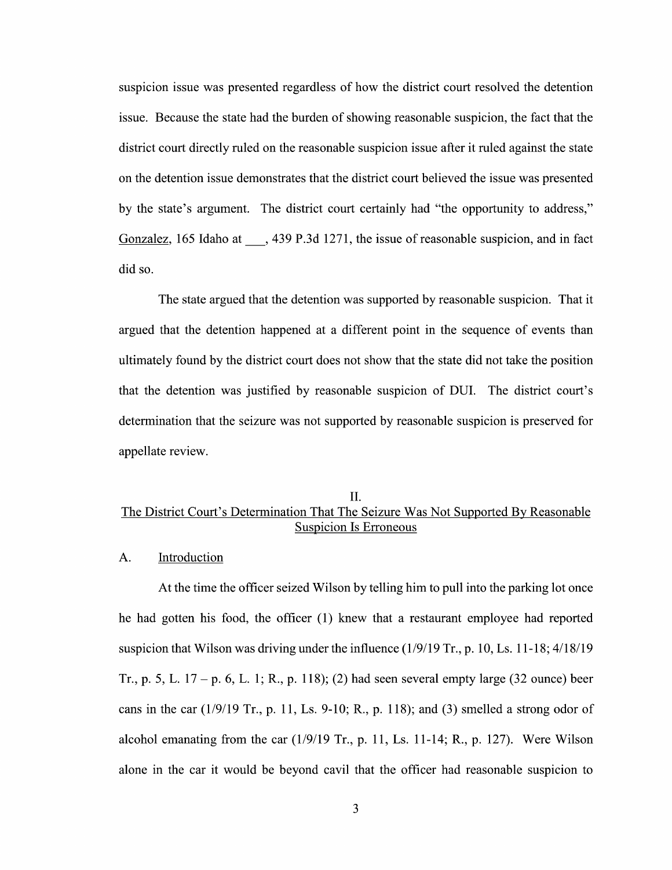suspicion issue was presented regardless of how the district court resolved the detention issue. Because the state had the burden 0f showing reasonable suspicion, the fact that the district court directly ruled 0n the reasonable suspicion issue after it ruled against the state 0n the detention issue demonstrates that the district court believed the issue was presented by the state's argument. The district court certainly had "the opportunity to address," Gonzalez, 165 Idaho at  $\phantom{0}$ , 439 P.3d 1271, the issue of reasonable suspicion, and in fact did so.

The state argued that the detention was supported by reasonable suspicion. That it argued that the detention happened at a different point in the sequence of events than ultimately found by the district court does not show that the state did not take the position that the detention was justified by reasonable suspicion of DUI. The district court's determination that the seizure was not supported by reasonable suspicion is preserved for appellate review.

## II. The District Court's Determination That The Seizure Was Not Supported By Reasonable Suspicion Is Erroneous

#### A. Introduction

At the time the officer seized Wilson by telling him to pull into the parking lot once he had gotten his food, the officer  $(1)$  knew that a restaurant employee had reported suspicion that Wilson was driving under the influence  $(1/9/19 \text{ Tr}., p. 10, Ls. 11-18; 4/18/19)$ Tr., p. 5, L.  $17 - p.$  6, L. 1; R., p. 118); (2) had seen several empty large (32 ounce) beer cans in the car  $(1/9/19 \text{ Tr}., p. 11, Ls. 9-10; R., p. 118)$ ; and (3) smelled a strong odor of alcohol emanating from the car  $(1/9/19$  Tr., p. 11, Ls. 11-14; R., p. 127). Were Wilson alone in the car it would be beyond cavil that the officer had reasonable suspicion to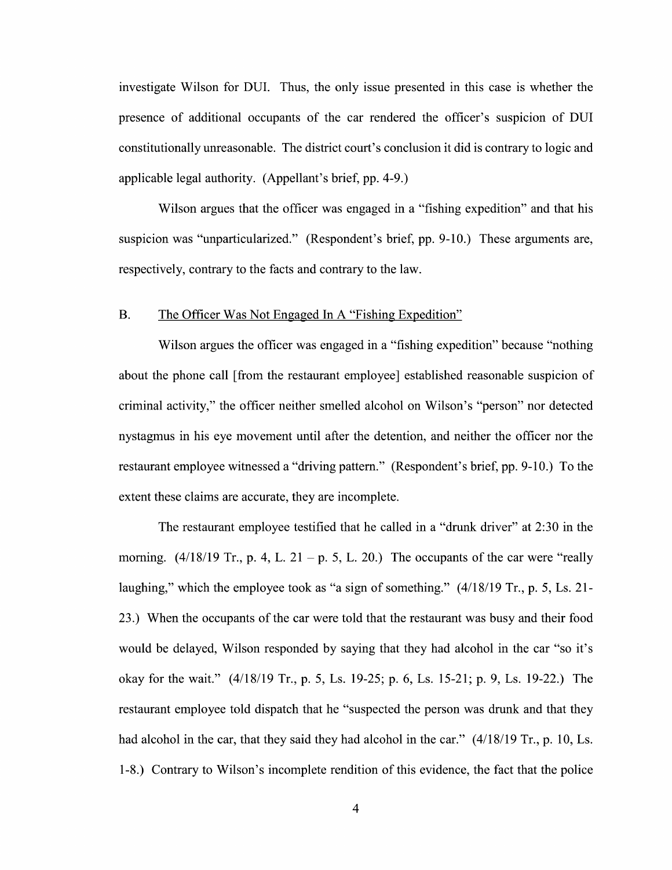investigate Wilson for DUI. Thus, the only issue presented in this case is whether the presence of additional occupants of the car rendered the officer's suspicion of DUI constitutionally unreasonable. The district court's conclusion itdid is contrary to logic and applicable legal authority. (Appellant's brief, pp. 4-9.)

Wilson argues that the officer was engaged in a "fishing expedition" and that his suspicion was "unparticularized." (Respondent's brief, pp. 9-10.) These arguments are, respectively, contrary to the facts and contrary to the law.

### B. The Officer Was Not Engaged In A "Fishing Expedition"

Wilson argues the officer was engaged in a "fishing expedition" because "nothing about the phone call [from the restaurant employee] established reasonable suspicion of criminal activity," the officer neither smelled alcohol 0n Wilson's "person" nor detected nystagmus in his eye movement until after the detention, and neither the officer nor the restaurant employee witnessed a "driving pattern." (Respondent's brief, pp. 9-10.) To the extent these claims are accurate, they are incomplete.

The restaurant employee testified that he called in a "drunk driver" at 2:30 in the morning.  $(4/18/19 \text{ Tr.}, p. 4, L. 21 - p. 5, L. 20.)$  The occupants of the car were "really laughing," which the employee took as "a sign of something." (4/18/19 Tr., p. 5, Ls. 21-23.) When the occupants of the car were told that the restaurant was busy and their food would be delayed, Wilson responded by saying that they had alcohol in the car "so it's okay for the wait." (4/18/19 Tr., p. 5, Ls. 19-25; p. 6, Ls. 15-21; p. 9, Ls. 19-22.) The restaurant employee told dispatch that he "suspected the person was drunk and that they had alcohol in the car, that they said they had alcohol in the car."  $(4/18/19 \text{ Tr}$ , p. 10, Ls. 1-8.) Contrary to Wilson's incomplete rendition 0f this evidence, the fact that the police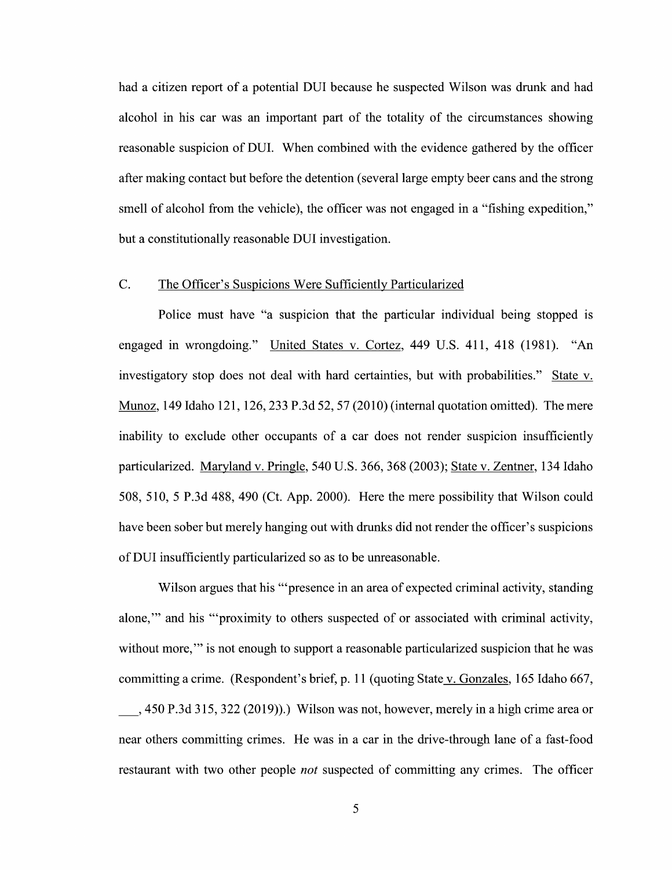had a citizen report of a potential DUI because he suspected Wilson was drunk and had alcohol in his car was an important part 0f the totality of the circumstances showing reasonable suspicion 0f DUI. When combined With the evidence gathered by the officer after making contact but before the detention (several large empty beer cans and the strong smell of alcohol from the vehicle), the officer was not engaged in a "fishing expedition," but a constitutionally reasonable DUI investigation.

## C. The Officer's Suspicions Were Sufficientlv Particularized

Police must have "a suspicion that the particular individual being stopped is engaged in wrongdoing." United States V. Cortez, 449 U.S. 411, 418 (1981). "An investigatory stop does not deal with hard certainties, but with probabilities." State v. Munoz, 149 Idaho 121, 126, 233 P.3d 52, 57 (2010) (internal quotation omitted). The mere inability to exclude other occupants of a car does not render suspicion insufficiently particularized. Maryland V. Pringle, 540 U.S. 366, 368 (2003); State V. Zentner, 134 Idaho 508, 510, P.3d 488, 490 (Ct. App. 2000). Here the mere possibility that Wilson could have been sober but merely hanging out With drunks did not render the officer's suspicions of DUI insufficiently particularized so as t0 be unreasonable.

Wilson argues that his "'presence in an area of expected criminal activity, standing alone," and his "'proximity to others suspected of or associated with criminal activity, without more," is not enough to support a reasonable particularized suspicion that he was committing a crime. (Respondent's brief, p. 11 (quoting State v. Gonzales, 165 Idaho 667,  $\_,$  450 P.3d 315, 322 (2019)).) Wilson was not, however, merely in a high crime area or near others committing crimes. He was in a car in the drive-through lane of a fast-food restaurant with two other people *not* suspected of committing any crimes. The officer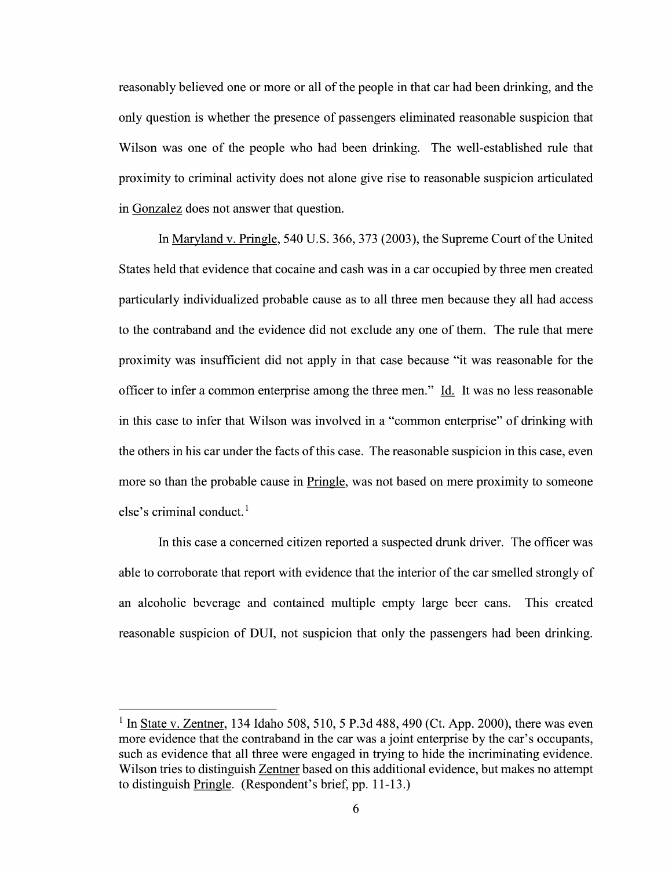reasonably believed one or more or all of the people in that car had been drinking, and the only question is Whether the presence of passengers eliminated reasonable suspicion that Wilson was one of the people who had been drinking. The well-established rule that proximity to criminal activity does not alone give rise to reasonable suspicion articulated in Gonzalez does not answer that question.

In Maryland V. Pringle, 540 U.S. 366, 373 (2003), the Supreme Court 0fthe United States held that evidence that cocaine and cash was in a car occupied by three men created particularly individualized probable cause as t0 all three men because they all had access to the contraband and the evidence did not exclude any one of them. The rule that mere proximity was insufficient did not apply in that case because "it was reasonable for the officer to infer a common enterprise among the three men." Id. It was no less reasonable in this case to infer that Wilson was involved in a "common enterprise" of drinking with the others in his car under the facts 0f this case. The reasonable suspicion in this case, even more so than the probable cause in Pringle, was not based on mere proximity to someone else's criminal conduct.<sup>1</sup>

In this case a concerned citizen reported a suspected drunk driver. The officer was able to corroborate that report With evidence that the interior of the car smelled strongly 0f an alcoholic beverage and contained multiple empty large beer cans. This created reasonable suspicion of DUI, not suspicion that only the passengers had been drinking.

In <u>State v. Zentner</u>, 134 Idaho 508, 510, 5 P.3d 488, 490 (Ct. App. 2000), there was even <sup>1</sup> In <u>State v. Zentner</u>, 134 Idaho 508, 510, 5 P.3d 488, 490 (Ct. App. 2000), there was even more evidence that the contraband in the car was a joint enterprise by the car's occupants, such as evidence that all three we Wilson tries to distinguish Zentner based on this additional evidence, but makes no attempt to distinguish Pringle. (Respondent's brief, pp. 11-13.)